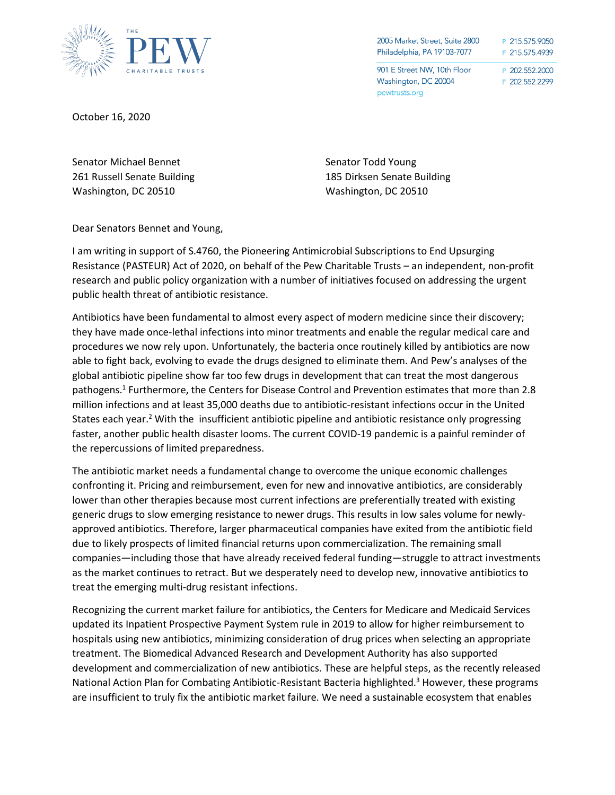

| 2005 Market Street, Suite 2800                                       | P 215.575.9050                   |
|----------------------------------------------------------------------|----------------------------------|
| Philadelphia, PA 19103-7077                                          | F 215.575.4939                   |
| 901 E Street NW, 10th Floor<br>Washington, DC 20004<br>pewtrusts.org | P 202.552.2000<br>F 202.552.2299 |

October 16, 2020

Senator Michael Bennet 261 Russell Senate Building Washington, DC 20510

Senator Todd Young 185 Dirksen Senate Building Washington, DC 20510

Dear Senators Bennet and Young,

I am writing in support of S.4760, the Pioneering Antimicrobial Subscriptions to End Upsurging Resistance (PASTEUR) Act of 2020, on behalf of the Pew Charitable Trusts – an independent, non-profit research and public policy organization with a number of initiatives focused on addressing the urgent public health threat of antibiotic resistance.

Antibiotics have been fundamental to almost every aspect of modern medicine since their discovery; they have made once-lethal infections into minor treatments and enable the regular medical care and procedures we now rely upon. Unfortunately, the bacteria once routinely killed by antibiotics are now able to fight back, evolving to evade the drugs designed to eliminate them. And Pew's analyses of the global antibiotic pipeline show far too few drugs in development that can treat the most dangerous pathogens.<sup>1</sup> Furthermore, the Centers for Disease Control and Prevention estimates that more than 2.8 million infections and at least 35,000 deaths due to antibiotic-resistant infections occur in the United States each year.<sup>2</sup> With the insufficient antibiotic pipeline and antibiotic resistance only progressing faster, another public health disaster looms. The current COVID-19 pandemic is a painful reminder of the repercussions of limited preparedness.

The antibiotic market needs a fundamental change to overcome the unique economic challenges confronting it. Pricing and reimbursement, even for new and innovative antibiotics, are considerably lower than other therapies because most current infections are preferentially treated with existing generic drugs to slow emerging resistance to newer drugs. This results in low sales volume for newlyapproved antibiotics. Therefore, larger pharmaceutical companies have exited from the antibiotic field due to likely prospects of limited financial returns upon commercialization. The remaining small companies—including those that have already received federal funding—struggle to attract investments as the market continues to retract. But we desperately need to develop new, innovative antibiotics to treat the emerging multi-drug resistant infections.

Recognizing the current market failure for antibiotics, the Centers for Medicare and Medicaid Services updated its Inpatient Prospective Payment System rule in 2019 to allow for higher reimbursement to hospitals using new antibiotics, minimizing consideration of drug prices when selecting an appropriate treatment. The Biomedical Advanced Research and Development Authority has also supported development and commercialization of new antibiotics. These are helpful steps, as the recently released National Action Plan for Combating Antibiotic-Resistant Bacteria highlighted.<sup>3</sup> However, these programs are insufficient to truly fix the antibiotic market failure. We need a sustainable ecosystem that enables